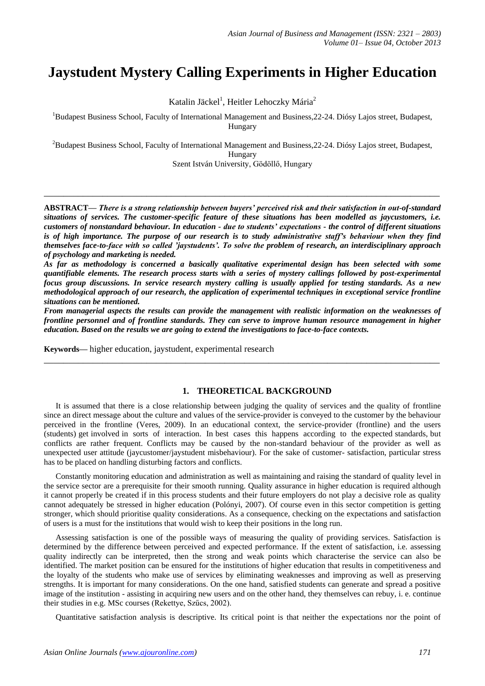# **Jaystudent Mystery Calling Experiments in Higher Education**

Katalin Jäckel<sup>1</sup>, Heitler Lehoczky Mária<sup>2</sup>

<sup>1</sup>Budapest Business School, Faculty of International Management and Business, 22-24. Diósy Lajos street, Budapest, Hungary

<sup>2</sup>Budapest Business School, Faculty of International Management and Business,22-24. Diósy Lajos street, Budapest, Hungary

Szent István University, Gödöllő, Hungary

**\_\_\_\_\_\_\_\_\_\_\_\_\_\_\_\_\_\_\_\_\_\_\_\_\_\_\_\_\_\_\_\_\_\_\_\_\_\_\_\_\_\_\_\_\_\_\_\_\_\_\_\_\_\_\_\_\_\_\_\_\_\_\_\_\_\_\_\_\_\_\_\_\_\_\_\_\_\_\_\_\_**

**ABSTRACT—** *There is a strong relationship between buyers' perceived risk and their satisfaction in out-of-standard situations of services. The customer-specific feature of these situations has been modelled as jaycustomers, i.e. customers of nonstandard behaviour. In education - due to students' expectations - the control of different situations is of high importance. The purpose of our research is to study administrative staff's behaviour when they find themselves face-to-face with so called 'jaystudents'. To solve the problem of research, an interdisciplinary approach of psychology and marketing is needed.* 

*As far as methodology is concerned a basically qualitative experimental design has been selected with some quantifiable elements. The research process starts with a series of mystery callings followed by post-experimental focus group discussions. In service research mystery calling is usually applied for testing standards. As a new methodological approach of our research, the application of experimental techniques in exceptional service frontline situations can be mentioned.*

*From managerial aspects the results can provide the management with realistic information on the weaknesses of frontline personnel and of frontline standards. They can serve to improve human resource management in higher education. Based on the results we are going to extend the investigations to face-to-face contexts.* 

**\_\_\_\_\_\_\_\_\_\_\_\_\_\_\_\_\_\_\_\_\_\_\_\_\_\_\_\_\_\_\_\_\_\_\_\_\_\_\_\_\_\_\_\_\_\_\_\_\_\_\_\_\_\_\_\_\_\_\_\_\_\_\_\_\_\_\_\_\_\_\_\_\_\_\_\_\_\_\_\_\_**

**Keywords—** higher education, jaystudent, experimental research

#### **1. THEORETICAL BACKGROUND**

It is assumed that there is a close relationship between judging the quality of services and the quality of frontline since an direct message about the culture and values of the service-provider is conveyed to the customer by the behaviour perceived in the frontline (Veres, 2009). In an educational context, the service-provider (frontline) and the users (students) get involved in sorts of interaction. In best cases this happens according to the expected standards, but conflicts are rather frequent. Conflicts may be caused by the non-standard behaviour of the provider as well as unexpected user attitude (jaycustomer/jaystudent misbehaviour). For the sake of customer- satisfaction, particular stress has to be placed on handling disturbing factors and conflicts.

Constantly monitoring education and administration as well as maintaining and raising the standard of quality level in the service sector are a prerequisite for their smooth running. Quality assurance in higher education is required although it cannot properly be created if in this process students and their future employers do not play a decisive role as quality cannot adequately be stressed in higher education (Polónyi, 2007). Of course even in this sector competition is getting stronger, which should prioritise quality considerations. As a consequence, checking on the expectations and satisfaction of users is a must for the institutions that would wish to keep their positions in the long run.

Assessing satisfaction is one of the possible ways of measuring the quality of providing services. Satisfaction is determined by the difference between perceived and expected performance. If the extent of satisfaction, i.e. assessing quality indirectly can be interpreted, then the strong and weak points which characterise the service can also be identified. The market position can be ensured for the institutions of higher education that results in competitiveness and the loyalty of the students who make use of services by eliminating weaknesses and improving as well as preserving strengths. It is important for many considerations. On the one hand, satisfied students can generate and spread a positive image of the institution - assisting in acquiring new users and on the other hand, they themselves can rebuy, i. e. continue their studies in e.g. MSc courses (Rekettye, Szűcs, 2002).

Quantitative satisfaction analysis is descriptive. Its critical point is that neither the expectations nor the point of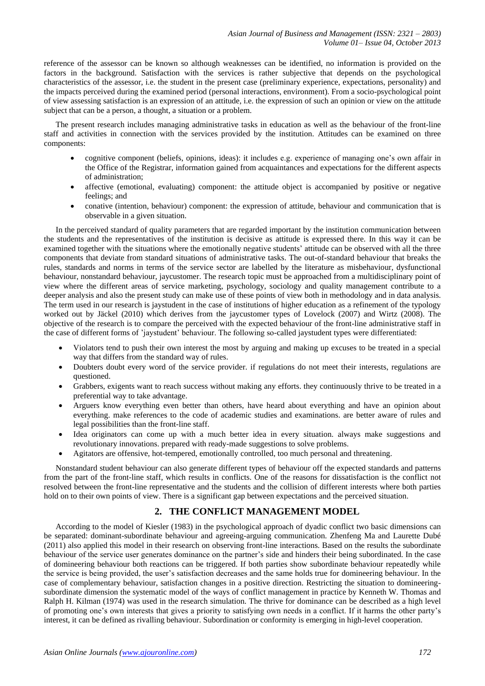reference of the assessor can be known so although weaknesses can be identified, no information is provided on the factors in the background. Satisfaction with the services is rather subjective that depends on the psychological characteristics of the assessor, i.e. the student in the present case (preliminary experience, expectations, personality) and the impacts perceived during the examined period (personal interactions, environment). From a socio-psychological point of view assessing satisfaction is an expression of an attitude, i.e. the expression of such an opinion or view on the attitude subject that can be a person, a thought, a situation or a problem.

The present research includes managing administrative tasks in education as well as the behaviour of the front-line staff and activities in connection with the services provided by the institution. Attitudes can be examined on three components:

- cognitive component (beliefs, opinions, ideas): it includes e.g. experience of managing one's own affair in the Office of the Registrar, information gained from acquaintances and expectations for the different aspects of administration;
- affective (emotional, evaluating) component: the attitude object is accompanied by positive or negative feelings; and
- conative (intention, behaviour) component: the expression of attitude, behaviour and communication that is observable in a given situation.

In the perceived standard of quality parameters that are regarded important by the institution communication between the students and the representatives of the institution is decisive as attitude is expressed there. In this way it can be examined together with the situations where the emotionally negative students' attitude can be observed with all the three components that deviate from standard situations of administrative tasks. The out-of-standard behaviour that breaks the rules, standards and norms in terms of the service sector are labelled by the literature as misbehaviour, dysfunctional behaviour, nonstandard behaviour, jaycustomer. The research topic must be approached from a multidisciplinary point of view where the different areas of service marketing, psychology, sociology and quality management contribute to a deeper analysis and also the present study can make use of these points of view both in methodology and in data analysis. The term used in our research is jaystudent in the case of institutions of higher education as a refinement of the typology worked out by Jäckel (2010) which derives from the jaycustomer types of Lovelock (2007) and Wirtz (2008). The objective of the research is to compare the perceived with the expected behaviour of the front-line administrative staff in the case of different forms of 'jaystudent' behaviour. The following so-called jaystudent types were differentiated:

- Violators tend to push their own interest the most by arguing and making up excuses to be treated in a special way that differs from the standard way of rules.
- Doubters doubt every word of the service provider. if regulations do not meet their interests, regulations are questioned.
- Grabbers, exigents want to reach success without making any efforts. they continuously thrive to be treated in a preferential way to take advantage.
- Arguers know everything even better than others, have heard about everything and have an opinion about everything. make references to the code of academic studies and examinations. are better aware of rules and legal possibilities than the front-line staff.
- Idea originators can come up with a much better idea in every situation. always make suggestions and revolutionary innovations. prepared with ready-made suggestions to solve problems.
- Agitators are offensive, hot-tempered, emotionally controlled, too much personal and threatening.

Nonstandard student behaviour can also generate different types of behaviour off the expected standards and patterns from the part of the front-line staff, which results in conflicts. One of the reasons for dissatisfaction is the conflict not resolved between the front-line representative and the students and the collision of different interests where both parties hold on to their own points of view. There is a significant gap between expectations and the perceived situation.

## **2. THE CONFLICT MANAGEMENT MODEL**

According to the model of Kiesler (1983) in the psychological approach of dyadic conflict two basic dimensions can be separated: dominant-subordinate behaviour and agreeing-arguing communication. Zhenfeng Ma and Laurette Dubé (2011) also applied this model in their research on observing front-line interactions. Based on the results the subordinate behaviour of the service user generates dominance on the partner's side and hinders their being subordinated. In the case of domineering behaviour both reactions can be triggered. If both parties show subordinate behaviour repeatedly while the service is being provided, the user's satisfaction decreases and the same holds true for domineering behaviour. In the case of complementary behaviour, satisfaction changes in a positive direction. Restricting the situation to domineeringsubordinate dimension the systematic model of the ways of conflict management in practice by Kenneth W. Thomas and Ralph H. Kilman (1974) was used in the research simulation. The thrive for dominance can be described as a high level of promoting one's own interests that gives a priority to satisfying own needs in a conflict. If it harms the other party's interest, it can be defined as rivalling behaviour. Subordination or conformity is emerging in high-level cooperation.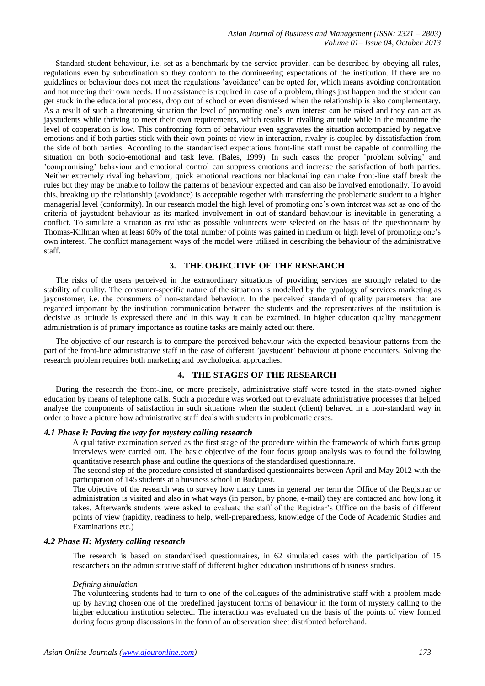Standard student behaviour, i.e. set as a benchmark by the service provider, can be described by obeying all rules, regulations even by subordination so they conform to the domineering expectations of the institution. If there are no guidelines or behaviour does not meet the regulations 'avoidance' can be opted for, which means avoiding confrontation and not meeting their own needs. If no assistance is required in case of a problem, things just happen and the student can get stuck in the educational process, drop out of school or even dismissed when the relationship is also complementary. As a result of such a threatening situation the level of promoting one's own interest can be raised and they can act as jaystudents while thriving to meet their own requirements, which results in rivalling attitude while in the meantime the level of cooperation is low. This confronting form of behaviour even aggravates the situation accompanied by negative emotions and if both parties stick with their own points of view in interaction, rivalry is coupled by dissatisfaction from the side of both parties. According to the standardised expectations front-line staff must be capable of controlling the situation on both socio-emotional and task level (Bales, 1999). In such cases the proper 'problem solving' and 'compromising' behaviour and emotional control can suppress emotions and increase the satisfaction of both parties. Neither extremely rivalling behaviour, quick emotional reactions nor blackmailing can make front-line staff break the rules but they may be unable to follow the patterns of behaviour expected and can also be involved emotionally. To avoid this, breaking up the relationship (avoidance) is acceptable together with transferring the problematic student to a higher managerial level (conformity). In our research model the high level of promoting one's own interest was set as one of the criteria of jaystudent behaviour as its marked involvement in out-of-standard behaviour is inevitable in generating a conflict. To simulate a situation as realistic as possible volunteers were selected on the basis of the questionnaire by Thomas-Killman when at least 60% of the total number of points was gained in medium or high level of promoting one's own interest. The conflict management ways of the model were utilised in describing the behaviour of the administrative staff.

## **3. THE OBJECTIVE OF THE RESEARCH**

The risks of the users perceived in the extraordinary situations of providing services are strongly related to the stability of quality. The consumer-specific nature of the situations is modelled by the typology of services marketing as jaycustomer, i.e. the consumers of non-standard behaviour. In the perceived standard of quality parameters that are regarded important by the institution communication between the students and the representatives of the institution is decisive as attitude is expressed there and in this way it can be examined. In higher education quality management administration is of primary importance as routine tasks are mainly acted out there.

The objective of our research is to compare the perceived behaviour with the expected behaviour patterns from the part of the front-line administrative staff in the case of different 'jaystudent' behaviour at phone encounters. Solving the research problem requires both marketing and psychological approaches.

#### **4. THE STAGES OF THE RESEARCH**

During the research the front-line, or more precisely, administrative staff were tested in the state-owned higher education by means of telephone calls. Such a procedure was worked out to evaluate administrative processes that helped analyse the components of satisfaction in such situations when the student (client) behaved in a non-standard way in order to have a picture how administrative staff deals with students in problematic cases.

#### *4.1 Phase I: Paving the way for mystery calling research*

A qualitative examination served as the first stage of the procedure within the framework of which focus group interviews were carried out. The basic objective of the four focus group analysis was to found the following quantitative research phase and outline the questions of the standardised questionnaire.

The second step of the procedure consisted of standardised questionnaires between April and May 2012 with the participation of 145 students at a business school in Budapest.

The objective of the research was to survey how many times in general per term the Office of the Registrar or administration is visited and also in what ways (in person, by phone, e-mail) they are contacted and how long it takes. Afterwards students were asked to evaluate the staff of the Registrar's Office on the basis of different points of view (rapidity, readiness to help, well-preparedness, knowledge of the Code of Academic Studies and Examinations etc.)

#### *4.2 Phase II: Mystery calling research*

The research is based on standardised questionnaires, in 62 simulated cases with the participation of 15 researchers on the administrative staff of different higher education institutions of business studies.

#### *Defining simulation*

The volunteering students had to turn to one of the colleagues of the administrative staff with a problem made up by having chosen one of the predefined jaystudent forms of behaviour in the form of mystery calling to the higher education institution selected. The interaction was evaluated on the basis of the points of view formed during focus group discussions in the form of an observation sheet distributed beforehand.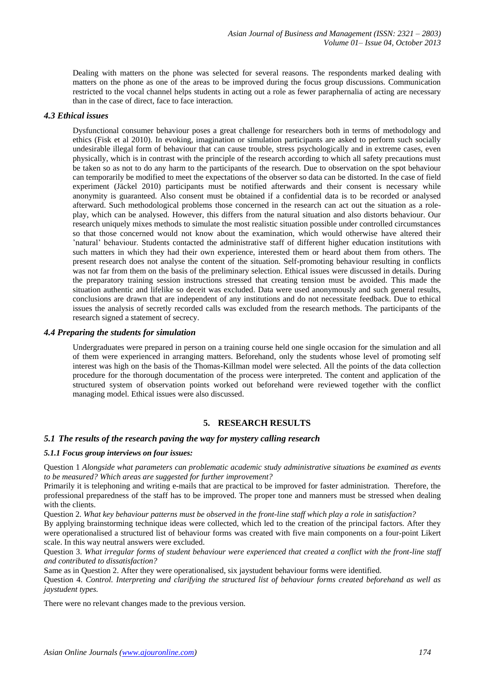Dealing with matters on the phone was selected for several reasons. The respondents marked dealing with matters on the phone as one of the areas to be improved during the focus group discussions. Communication restricted to the vocal channel helps students in acting out a role as fewer paraphernalia of acting are necessary than in the case of direct, face to face interaction.

## *4.3 Ethical issues*

Dysfunctional consumer behaviour poses a great challenge for researchers both in terms of methodology and ethics (Fisk et al 2010). In evoking, imagination or simulation participants are asked to perform such socially undesirable illegal form of behaviour that can cause trouble, stress psychologically and in extreme cases, even physically, which is in contrast with the principle of the research according to which all safety precautions must be taken so as not to do any harm to the participants of the research. Due to observation on the spot behaviour can temporarily be modified to meet the expectations of the observer so data can be distorted. In the case of field experiment (Jäckel 2010) participants must be notified afterwards and their consent is necessary while anonymity is guaranteed. Also consent must be obtained if a confidential data is to be recorded or analysed afterward. Such methodological problems those concerned in the research can act out the situation as a roleplay, which can be analysed. However, this differs from the natural situation and also distorts behaviour. Our research uniquely mixes methods to simulate the most realistic situation possible under controlled circumstances so that those concerned would not know about the examination, which would otherwise have altered their 'natural' behaviour. Students contacted the administrative staff of different higher education institutions with such matters in which they had their own experience, interested them or heard about them from others. The present research does not analyse the content of the situation. Self-promoting behaviour resulting in conflicts was not far from them on the basis of the preliminary selection. Ethical issues were discussed in details. During the preparatory training session instructions stressed that creating tension must be avoided. This made the situation authentic and lifelike so deceit was excluded. Data were used anonymously and such general results, conclusions are drawn that are independent of any institutions and do not necessitate feedback. Due to ethical issues the analysis of secretly recorded calls was excluded from the research methods. The participants of the research signed a statement of secrecy.

#### *4.4 Preparing the students for simulation*

Undergraduates were prepared in person on a training course held one single occasion for the simulation and all of them were experienced in arranging matters. Beforehand, only the students whose level of promoting self interest was high on the basis of the Thomas-Killman model were selected. All the points of the data collection procedure for the thorough documentation of the process were interpreted. The content and application of the structured system of observation points worked out beforehand were reviewed together with the conflict managing model. Ethical issues were also discussed.

### **5. RESEARCH RESULTS**

#### *5.1 The results of the research paving the way for mystery calling research*

#### *5.1.1 Focus group interviews on four issues:*

Question 1 *Alongside what parameters can problematic academic study administrative situations be examined as events to be measured? Which areas are suggested for further improvement?*

Primarily it is telephoning and writing e-mails that are practical to be improved for faster administration. Therefore, the professional preparedness of the staff has to be improved. The proper tone and manners must be stressed when dealing with the clients.

Question 2. *What key behaviour patterns must be observed in the front-line staff which play a role in satisfaction?* 

By applying brainstorming technique ideas were collected, which led to the creation of the principal factors. After they were operationalised a structured list of behaviour forms was created with five main components on a four-point Likert scale. In this way neutral answers were excluded.

Question 3. *What irregular forms of student behaviour were experienced that created a conflict with the front-line staff and contributed to dissatisfaction?* 

Same as in Question 2. After they were operationalised, six jaystudent behaviour forms were identified.

Question 4. *Control. Interpreting and clarifying the structured list of behaviour forms created beforehand as well as jaystudent types.*

There were no relevant changes made to the previous version.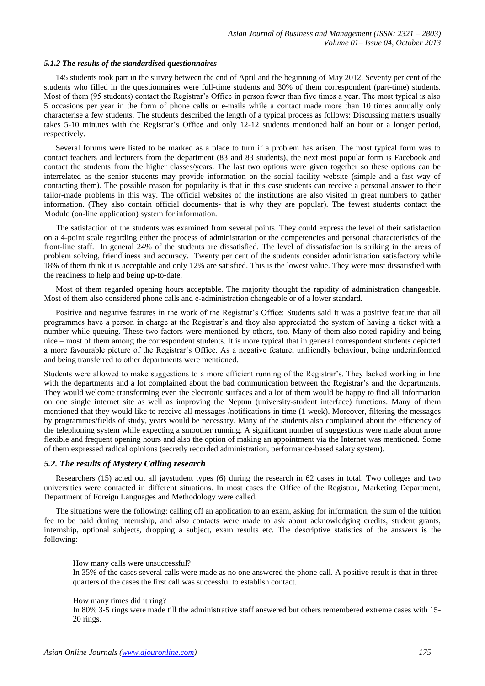#### *5.1.2 The results of the standardised questionnaires*

145 students took part in the survey between the end of April and the beginning of May 2012. Seventy per cent of the students who filled in the questionnaires were full-time students and 30% of them correspondent (part-time) students. Most of them (95 students) contact the Registrar's Office in person fewer than five times a year. The most typical is also 5 occasions per year in the form of phone calls or e-mails while a contact made more than 10 times annually only characterise a few students. The students described the length of a typical process as follows: Discussing matters usually takes 5-10 minutes with the Registrar's Office and only 12-12 students mentioned half an hour or a longer period, respectively.

Several forums were listed to be marked as a place to turn if a problem has arisen. The most typical form was to contact teachers and lecturers from the department (83 and 83 students), the next most popular form is Facebook and contact the students from the higher classes/years. The last two options were given together so these options can be interrelated as the senior students may provide information on the social facility website (simple and a fast way of contacting them). The possible reason for popularity is that in this case students can receive a personal answer to their tailor-made problems in this way. The official websites of the institutions are also visited in great numbers to gather information. (They also contain official documents- that is why they are popular). The fewest students contact the Modulo (on-line application) system for information.

The satisfaction of the students was examined from several points. They could express the level of their satisfaction on a 4-point scale regarding either the process of administration or the competencies and personal characteristics of the front-line staff. In general 24% of the students are dissatisfied. The level of dissatisfaction is striking in the areas of problem solving, friendliness and accuracy. Twenty per cent of the students consider administration satisfactory while 18% of them think it is acceptable and only 12% are satisfied. This is the lowest value. They were most dissatisfied with the readiness to help and being up-to-date.

Most of them regarded opening hours acceptable. The majority thought the rapidity of administration changeable. Most of them also considered phone calls and e-administration changeable or of a lower standard.

Positive and negative features in the work of the Registrar's Office: Students said it was a positive feature that all programmes have a person in charge at the Registrar's and they also appreciated the system of having a ticket with a number while queuing. These two factors were mentioned by others, too. Many of them also noted rapidity and being nice – most of them among the correspondent students. It is more typical that in general correspondent students depicted a more favourable picture of the Registrar's Office. As a negative feature, unfriendly behaviour, being underinformed and being transferred to other departments were mentioned.

Students were allowed to make suggestions to a more efficient running of the Registrar's. They lacked working in line with the departments and a lot complained about the bad communication between the Registrar's and the departments. They would welcome transforming even the electronic surfaces and a lot of them would be happy to find all information on one single internet site as well as improving the Neptun (university-student interface) functions. Many of them mentioned that they would like to receive all messages /notifications in time (1 week). Moreover, filtering the messages by programmes/fields of study, years would be necessary. Many of the students also complained about the efficiency of the telephoning system while expecting a smoother running. A significant number of suggestions were made about more flexible and frequent opening hours and also the option of making an appointment via the Internet was mentioned. Some of them expressed radical opinions (secretly recorded administration, performance-based salary system).

#### *5.2. The results of Mystery Calling research*

Researchers (15) acted out all jaystudent types (6) during the research in 62 cases in total. Two colleges and two universities were contacted in different situations. In most cases the Office of the Registrar, Marketing Department, Department of Foreign Languages and Methodology were called.

The situations were the following: calling off an application to an exam, asking for information, the sum of the tuition fee to be paid during internship, and also contacts were made to ask about acknowledging credits, student grants, internship, optional subjects, dropping a subject, exam results etc. The descriptive statistics of the answers is the following:

How many calls were unsuccessful?

In 35% of the cases several calls were made as no one answered the phone call. A positive result is that in threequarters of the cases the first call was successful to establish contact.

How many times did it ring?

In 80% 3-5 rings were made till the administrative staff answered but others remembered extreme cases with 15- 20 rings.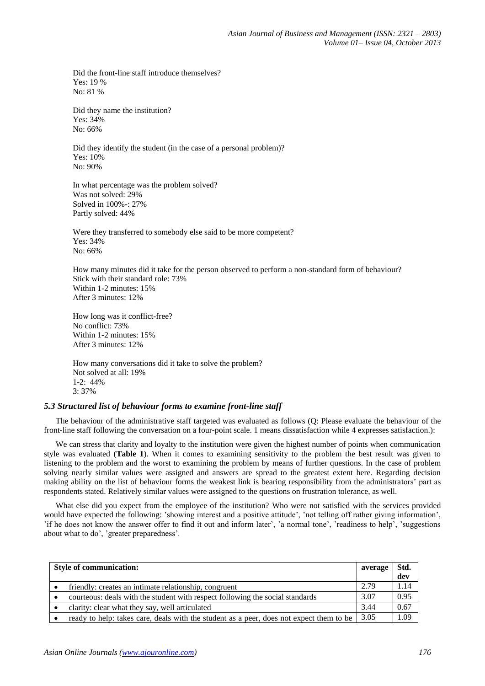Did the front-line staff introduce themselves? Yes: 19 % No: 81 %

Did they name the institution? Yes: 34% No: 66%

Did they identify the student (in the case of a personal problem)? Yes: 10% No: 90%

In what percentage was the problem solved? Was not solved: 29% Solved in 100%-: 27% Partly solved: 44%

Were they transferred to somebody else said to be more competent? Yes: 34% No: 66%

How many minutes did it take for the person observed to perform a non-standard form of behaviour? Stick with their standard role: 73% Within 1-2 minutes: 15% After 3 minutes: 12%

How long was it conflict-free? No conflict: 73% Within 1-2 minutes: 15% After 3 minutes: 12%

How many conversations did it take to solve the problem? Not solved at all: 19% 1-2: 44% 3: 37%

## *5.3 Structured list of behaviour forms to examine front-line staff*

The behaviour of the administrative staff targeted was evaluated as follows (Q: Please evaluate the behaviour of the front-line staff following the conversation on a four-point scale. 1 means dissatisfaction while 4 expresses satisfaction.):

We can stress that clarity and loyalty to the institution were given the highest number of points when communication style was evaluated (**Table 1**). When it comes to examining sensitivity to the problem the best result was given to listening to the problem and the worst to examining the problem by means of further questions. In the case of problem solving nearly similar values were assigned and answers are spread to the greatest extent here. Regarding decision making ability on the list of behaviour forms the weakest link is bearing responsibility from the administrators' part as respondents stated. Relatively similar values were assigned to the questions on frustration tolerance, as well.

What else did you expect from the employee of the institution? Who were not satisfied with the services provided would have expected the following: 'showing interest and a positive attitude', 'not telling off rather giving information', 'if he does not know the answer offer to find it out and inform later', 'a normal tone', 'readiness to help', 'suggestions about what to do', 'greater preparedness'.

| <b>Style of communication:</b> |                                                                                         | average | Std. |
|--------------------------------|-----------------------------------------------------------------------------------------|---------|------|
|                                |                                                                                         |         | dev  |
|                                | friendly: creates an intimate relationship, congruent                                   | 2.79    | 1.14 |
|                                | courteous: deals with the student with respect following the social standards           | 3.07    | 0.95 |
|                                | clarity: clear what they say, well articulated                                          | 3.44    | 0.67 |
|                                | ready to help: takes care, deals with the student as a peer, does not expect them to be | 3.05    | 1.09 |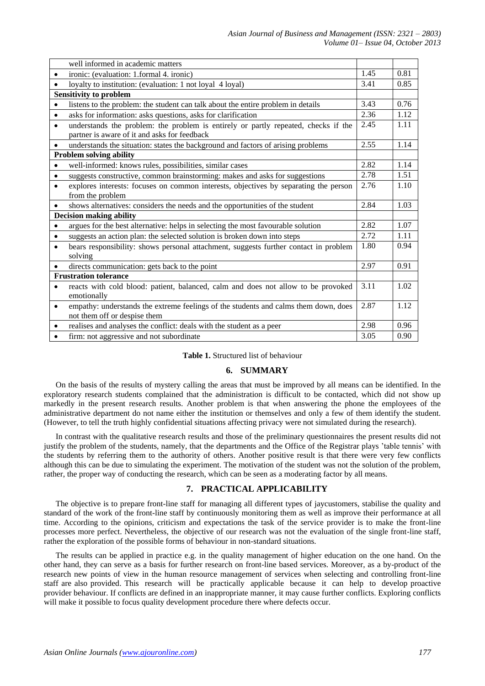|                                | well informed in academic matters                                                                                                  |      |      |
|--------------------------------|------------------------------------------------------------------------------------------------------------------------------------|------|------|
| ٠                              | ironic: (evaluation: 1.formal 4. ironic)                                                                                           | 1.45 | 0.81 |
|                                | loyalty to institution: (evaluation: 1 not loyal 4 loyal)                                                                          | 3.41 | 0.85 |
| <b>Sensitivity to problem</b>  |                                                                                                                                    |      |      |
|                                | listens to the problem: the student can talk about the entire problem in details                                                   | 3.43 | 0.76 |
| $\bullet$                      | asks for information: asks questions, asks for clarification                                                                       | 2.36 | 1.12 |
| $\bullet$                      | understands the problem: the problem is entirely or partly repeated, checks if the<br>partner is aware of it and asks for feedback | 2.45 | 1.11 |
| $\bullet$                      | understands the situation: states the background and factors of arising problems                                                   | 2.55 | 1.14 |
| <b>Problem solving ability</b> |                                                                                                                                    |      |      |
| $\bullet$                      | well-informed: knows rules, possibilities, similar cases                                                                           | 2.82 | 1.14 |
| $\bullet$                      | suggests constructive, common brainstorming: makes and asks for suggestions                                                        | 2.78 | 1.51 |
| $\bullet$                      | explores interests: focuses on common interests, objectives by separating the person                                               | 2.76 | 1.10 |
|                                | from the problem                                                                                                                   |      |      |
| $\bullet$                      | shows alternatives: considers the needs and the opportunities of the student                                                       | 2.84 | 1.03 |
| <b>Decision making ability</b> |                                                                                                                                    |      |      |
|                                | argues for the best alternative: helps in selecting the most favourable solution                                                   | 2.82 | 1.07 |
| ٠                              | suggests an action plan: the selected solution is broken down into steps                                                           | 2.72 | 1.11 |
| $\bullet$                      | bears responsibility: shows personal attachment, suggests further contact in problem                                               | 1.80 | 0.94 |
|                                | solving                                                                                                                            |      |      |
|                                | directs communication: gets back to the point                                                                                      | 2.97 | 0.91 |
| <b>Frustration tolerance</b>   |                                                                                                                                    |      |      |
| $\bullet$                      | reacts with cold blood: patient, balanced, calm and does not allow to be provoked                                                  | 3.11 | 1.02 |
|                                | emotionally                                                                                                                        |      |      |
| $\bullet$                      | empathy: understands the extreme feelings of the students and calms them down, does<br>not them off or despise them                | 2.87 | 1.12 |
| $\bullet$                      | realises and analyses the conflict: deals with the student as a peer                                                               | 2.98 | 0.96 |
|                                | firm: not aggressive and not subordinate                                                                                           | 3.05 | 0.90 |

#### **Table 1.** Structured list of behaviour

## **6. SUMMARY**

On the basis of the results of mystery calling the areas that must be improved by all means can be identified. In the exploratory research students complained that the administration is difficult to be contacted, which did not show up markedly in the present research results. Another problem is that when answering the phone the employees of the administrative department do not name either the institution or themselves and only a few of them identify the student. (However, to tell the truth highly confidential situations affecting privacy were not simulated during the research).

In contrast with the qualitative research results and those of the preliminary questionnaires the present results did not justify the problem of the students, namely, that the departments and the Office of the Registrar plays 'table tennis' with the students by referring them to the authority of others. Another positive result is that there were very few conflicts although this can be due to simulating the experiment. The motivation of the student was not the solution of the problem, rather, the proper way of conducting the research, which can be seen as a moderating factor by all means.

## **7. PRACTICAL APPLICABILITY**

The objective is to prepare front-line staff for managing all different types of jaycustomers, stabilise the quality and standard of the work of the front-line staff by continuously monitoring them as well as improve their performance at all time. According to the opinions, criticism and expectations the task of the service provider is to make the front-line processes more perfect. Nevertheless, the objective of our research was not the evaluation of the single front-line staff, rather the exploration of the possible forms of behaviour in non-standard situations.

The results can be applied in practice e.g. in the quality management of higher education on the one hand. On the other hand, they can serve as a basis for further research on front-line based services. Moreover, as a by-product of the research new points of view in the human resource management of services when selecting and controlling front-line staff are also provided. This research will be practically applicable because it can help to develop proactive provider behaviour. If conflicts are defined in an inappropriate manner, it may cause further conflicts. Exploring conflicts will make it possible to focus quality development procedure there where defects occur.